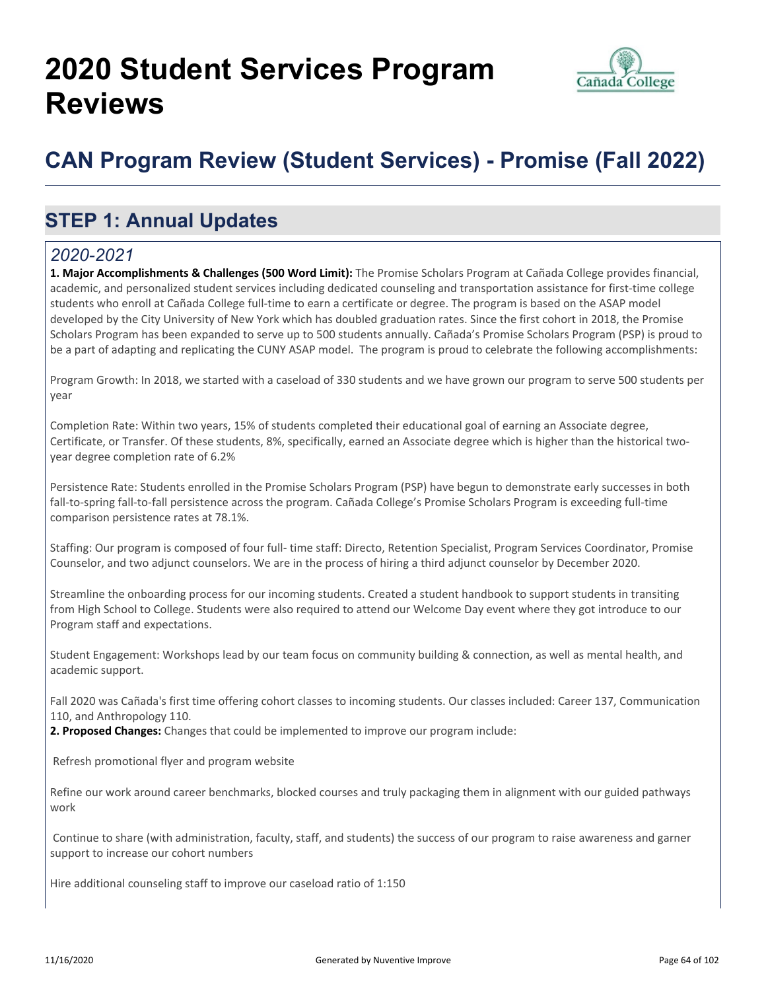# **2020 Student Services Program Reviews**



## **CAN Program Review (Student Services) - Promise (Fall 2022)**

## **STEP 1: Annual Updates**

#### *2020-2021*

**1. Major Accomplishments & Challenges (500 Word Limit):** The Promise Scholars Program at Cañada College provides financial, academic, and personalized student services including dedicated counseling and transportation assistance for first-time college students who enroll at Cañada College full-time to earn a certificate or degree. The program is based on the ASAP model developed by the City University of New York which has doubled graduation rates. Since the first cohort in 2018, the Promise Scholars Program has been expanded to serve up to 500 students annually. Cañada's Promise Scholars Program (PSP) is proud to be a part of adapting and replicating the CUNY ASAP model. The program is proud to celebrate the following accomplishments:

Program Growth: In 2018, we started with a caseload of 330 students and we have grown our program to serve 500 students per year

Completion Rate: Within two years, 15% of students completed their educational goal of earning an Associate degree, Certificate, or Transfer. Of these students, 8%, specifically, earned an Associate degree which is higher than the historical twoyear degree completion rate of 6.2%

Persistence Rate: Students enrolled in the Promise Scholars Program (PSP) have begun to demonstrate early successes in both fall-to-spring fall-to-fall persistence across the program. Cañada College's Promise Scholars Program is exceeding full-time comparison persistence rates at 78.1%.

Staffing: Our program is composed of four full- time staff: Directo, Retention Specialist, Program Services Coordinator, Promise Counselor, and two adjunct counselors. We are in the process of hiring a third adjunct counselor by December 2020.

Streamline the onboarding process for our incoming students. Created a student handbook to support students in transiting from High School to College. Students were also required to attend our Welcome Day event where they got introduce to our Program staff and expectations.

Student Engagement: Workshops lead by our team focus on community building & connection, as well as mental health, and academic support.

Fall 2020 was Cañada's first time offering cohort classes to incoming students. Our classes included: Career 137, Communication 110, and Anthropology 110.

**2. Proposed Changes:** Changes that could be implemented to improve our program include:

Refresh promotional flyer and program website

Refine our work around career benchmarks, blocked courses and truly packaging them in alignment with our guided pathways work

 Continue to share (with administration, faculty, staff, and students) the success of our program to raise awareness and garner support to increase our cohort numbers

Hire additional counseling staff to improve our caseload ratio of 1:150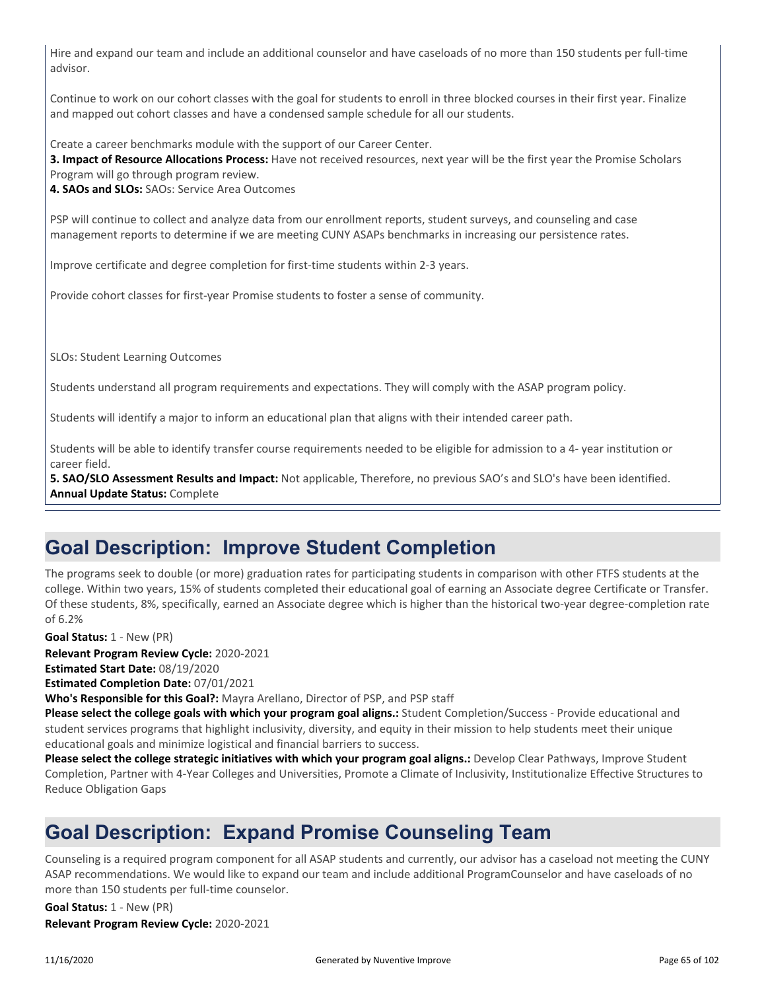Hire and expand our team and include an additional counselor and have caseloads of no more than 150 students per full-time advisor.

Continue to work on our cohort classes with the goal for students to enroll in three blocked courses in their first year. Finalize and mapped out cohort classes and have a condensed sample schedule for all our students.

Create a career benchmarks module with the support of our Career Center.

**3. Impact of Resource Allocations Process:** Have not received resources, next year will be the first year the Promise Scholars Program will go through program review.

**4. SAOs and SLOs:** SAOs: Service Area Outcomes

PSP will continue to collect and analyze data from our enrollment reports, student surveys, and counseling and case management reports to determine if we are meeting CUNY ASAPs benchmarks in increasing our persistence rates.

Improve certificate and degree completion for first-time students within 2-3 years.

Provide cohort classes for first-year Promise students to foster a sense of community.

SLOs: Student Learning Outcomes

Students understand all program requirements and expectations. They will comply with the ASAP program policy.

Students will identify a major to inform an educational plan that aligns with their intended career path.

Students will be able to identify transfer course requirements needed to be eligible for admission to a 4- year institution or career field.

**5. SAO/SLO Assessment Results and Impact:** Not applicable, Therefore, no previous SAO's and SLO's have been identified. **Annual Update Status:** Complete

## **Goal Description: Improve Student Completion**

The programs seek to double (or more) graduation rates for participating students in comparison with other FTFS students at the college. Within two years, 15% of students completed their educational goal of earning an Associate degree Certificate or Transfer. Of these students, 8%, specifically, earned an Associate degree which is higher than the historical two-year degree-completion rate of 6.2%

**Goal Status:** 1 - New (PR)

**Relevant Program Review Cycle:** 2020-2021 **Estimated Start Date:** 08/19/2020

**Estimated Completion Date:** 07/01/2021

**Who's Responsible for this Goal?:** Mayra Arellano, Director of PSP, and PSP staff

**Please select the college goals with which your program goal aligns.:** Student Completion/Success - Provide educational and student services programs that highlight inclusivity, diversity, and equity in their mission to help students meet their unique educational goals and minimize logistical and financial barriers to success.

**Please select the college strategic initiatives with which your program goal aligns.:** Develop Clear Pathways, Improve Student Completion, Partner with 4-Year Colleges and Universities, Promote a Climate of Inclusivity, Institutionalize Effective Structures to Reduce Obligation Gaps

## **Goal Description: Expand Promise Counseling Team**

Counseling is a required program component for all ASAP students and currently, our advisor has a caseload not meeting the CUNY ASAP recommendations. We would like to expand our team and include additional ProgramCounselor and have caseloads of no more than 150 students per full-time counselor.

**Relevant Program Review Cycle:** 2020-2021 **Goal Status:** 1 - New (PR)